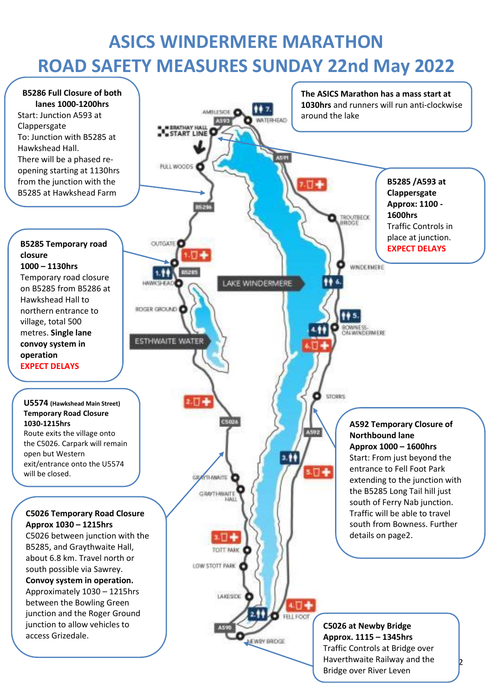# **ASICS WINDERMERE MARATHON ROAD SAFETY MEASURES SUNDAY 22nd May 2022**



**EXPECT** DELAYS